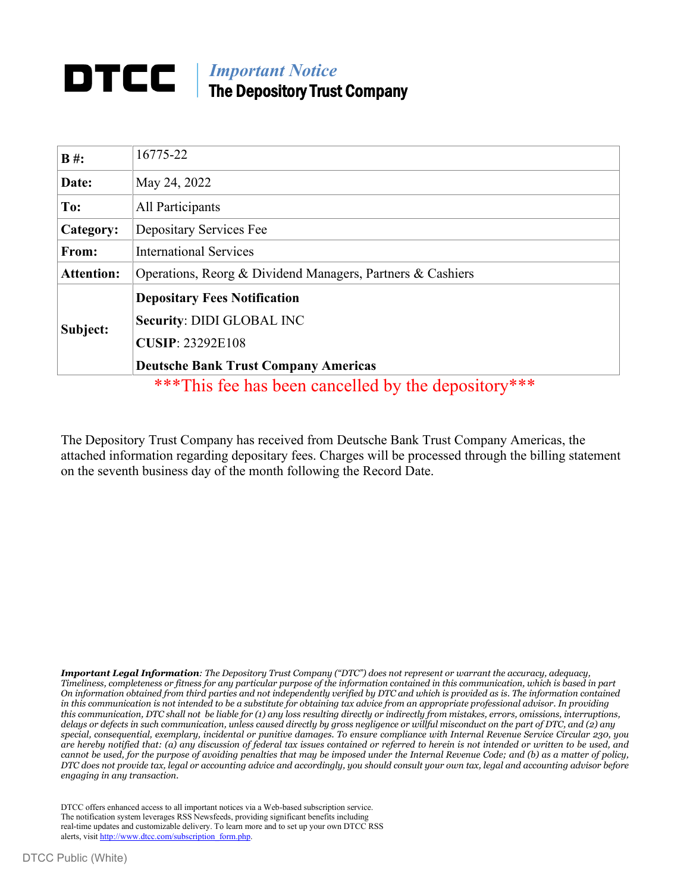## *Important Notice* The Depository Trust Company

| $B#$ :            | 16775-22                                                   |
|-------------------|------------------------------------------------------------|
| Date:             | May 24, 2022                                               |
| To:               | All Participants                                           |
| Category:         | Depositary Services Fee                                    |
| From:             | <b>International Services</b>                              |
| <b>Attention:</b> | Operations, Reorg & Dividend Managers, Partners & Cashiers |
| Subject:          | <b>Depositary Fees Notification</b>                        |
|                   | <b>Security: DIDI GLOBAL INC</b>                           |
|                   | <b>CUSIP: 23292E108</b>                                    |
|                   | <b>Deutsche Bank Trust Company Americas</b>                |
|                   | ***This fee has been cancelled by the depository***        |

The Depository Trust Company has received from Deutsche Bank Trust Company Americas, the attached information regarding depositary fees. Charges will be processed through the billing statement on the seventh business day of the month following the Record Date.

*Important Legal Information: The Depository Trust Company ("DTC") does not represent or warrant the accuracy, adequacy, Timeliness, completeness or fitness for any particular purpose of the information contained in this communication, which is based in part On information obtained from third parties and not independently verified by DTC and which is provided as is. The information contained in this communication is not intended to be a substitute for obtaining tax advice from an appropriate professional advisor. In providing this communication, DTC shall not be liable for (1) any loss resulting directly or indirectly from mistakes, errors, omissions, interruptions, delays or defects in such communication, unless caused directly by gross negligence or willful misconduct on the part of DTC, and (2) any special, consequential, exemplary, incidental or punitive damages. To ensure compliance with Internal Revenue Service Circular 230, you are hereby notified that: (a) any discussion of federal tax issues contained or referred to herein is not intended or written to be used, and cannot be used, for the purpose of avoiding penalties that may be imposed under the Internal Revenue Code; and (b) as a matter of policy, DTC does not provide tax, legal or accounting advice and accordingly, you should consult your own tax, legal and accounting advisor before engaging in any transaction.*

DTCC offers enhanced access to all important notices via a Web-based subscription service. The notification system leverages RSS Newsfeeds, providing significant benefits including real-time updates and customizable delivery. To learn more and to set up your own DTCC RSS alerts, visit [http://www.dtcc.com/subscription\\_form.php.](http://www.dtcc.com/subscription_form.php)